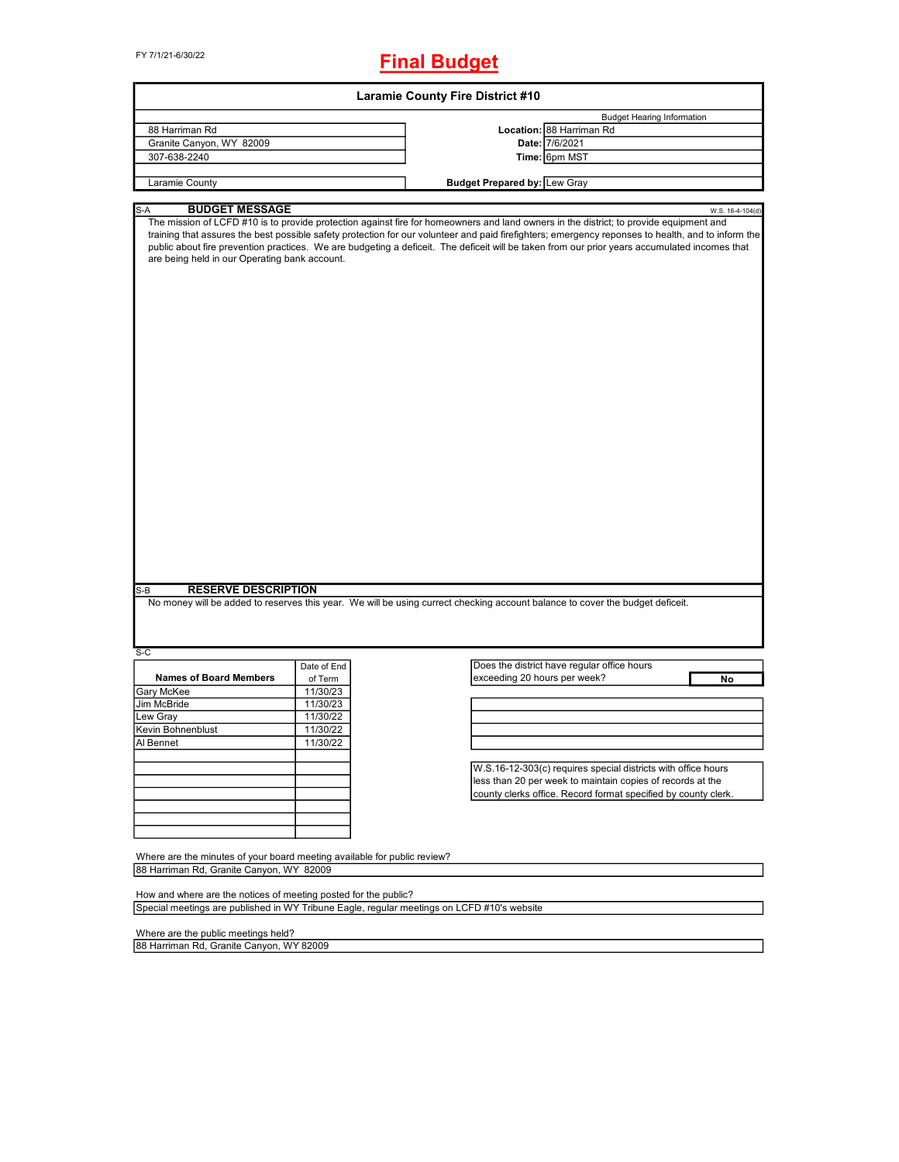FY 7/1/21-6/30/22

# **Final Budget**

|                                                                                                                                                                                                                                                                                                                                                                                                                                         |             | <b>Laramie County Fire District #10</b>                                                                                                                                                                                                                                                                                                                                                                                                       |  |
|-----------------------------------------------------------------------------------------------------------------------------------------------------------------------------------------------------------------------------------------------------------------------------------------------------------------------------------------------------------------------------------------------------------------------------------------|-------------|-----------------------------------------------------------------------------------------------------------------------------------------------------------------------------------------------------------------------------------------------------------------------------------------------------------------------------------------------------------------------------------------------------------------------------------------------|--|
|                                                                                                                                                                                                                                                                                                                                                                                                                                         |             | <b>Budget Hearing Information</b>                                                                                                                                                                                                                                                                                                                                                                                                             |  |
| 88 Harriman Rd                                                                                                                                                                                                                                                                                                                                                                                                                          |             | Location: 88 Harriman Rd                                                                                                                                                                                                                                                                                                                                                                                                                      |  |
| Granite Canyon, WY 82009                                                                                                                                                                                                                                                                                                                                                                                                                |             | Date: 7/6/2021                                                                                                                                                                                                                                                                                                                                                                                                                                |  |
| 307-638-2240                                                                                                                                                                                                                                                                                                                                                                                                                            |             | Time: 6pm MST                                                                                                                                                                                                                                                                                                                                                                                                                                 |  |
| Laramie County                                                                                                                                                                                                                                                                                                                                                                                                                          |             | <b>Budget Prepared by: Lew Gray</b>                                                                                                                                                                                                                                                                                                                                                                                                           |  |
|                                                                                                                                                                                                                                                                                                                                                                                                                                         |             |                                                                                                                                                                                                                                                                                                                                                                                                                                               |  |
| <b>BUDGET MESSAGE</b><br>$S-A$                                                                                                                                                                                                                                                                                                                                                                                                          |             | W.S. 16-4-104(d)                                                                                                                                                                                                                                                                                                                                                                                                                              |  |
| are being held in our Operating bank account.                                                                                                                                                                                                                                                                                                                                                                                           |             | The mission of LCFD #10 is to provide protection against fire for homeowners and land owners in the district; to provide equipment and<br>training that assures the best possible safety protection for our volunteer and paid firefighters; emergency reponses to health, and to inform the<br>public about fire prevention practices. We are budgeting a deficeit. The deficeit will be taken from our prior years accumulated incomes that |  |
|                                                                                                                                                                                                                                                                                                                                                                                                                                         |             |                                                                                                                                                                                                                                                                                                                                                                                                                                               |  |
| <b>RESERVE DESCRIPTION</b><br>S-B<br>$S-C$                                                                                                                                                                                                                                                                                                                                                                                              |             | No money will be added to reserves this year. We will be using currect checking account balance to cover the budget deficeit.                                                                                                                                                                                                                                                                                                                 |  |
| <b>Names of Board Members</b>                                                                                                                                                                                                                                                                                                                                                                                                           | Date of End | Does the district have regular office hours                                                                                                                                                                                                                                                                                                                                                                                                   |  |
|                                                                                                                                                                                                                                                                                                                                                                                                                                         | of Term     | exceeding 20 hours per week?<br>No                                                                                                                                                                                                                                                                                                                                                                                                            |  |
|                                                                                                                                                                                                                                                                                                                                                                                                                                         | 11/30/23    |                                                                                                                                                                                                                                                                                                                                                                                                                                               |  |
|                                                                                                                                                                                                                                                                                                                                                                                                                                         | 11/30/23    |                                                                                                                                                                                                                                                                                                                                                                                                                                               |  |
|                                                                                                                                                                                                                                                                                                                                                                                                                                         | 11/30/22    |                                                                                                                                                                                                                                                                                                                                                                                                                                               |  |
|                                                                                                                                                                                                                                                                                                                                                                                                                                         | 11/30/22    |                                                                                                                                                                                                                                                                                                                                                                                                                                               |  |
|                                                                                                                                                                                                                                                                                                                                                                                                                                         | 11/30/22    |                                                                                                                                                                                                                                                                                                                                                                                                                                               |  |
|                                                                                                                                                                                                                                                                                                                                                                                                                                         |             |                                                                                                                                                                                                                                                                                                                                                                                                                                               |  |
|                                                                                                                                                                                                                                                                                                                                                                                                                                         |             | W.S.16-12-303(c) requires special districts with office hours<br>less than 20 per week to maintain copies of records at the<br>county clerks office. Record format specified by county clerk.                                                                                                                                                                                                                                                 |  |
|                                                                                                                                                                                                                                                                                                                                                                                                                                         |             |                                                                                                                                                                                                                                                                                                                                                                                                                                               |  |
|                                                                                                                                                                                                                                                                                                                                                                                                                                         |             |                                                                                                                                                                                                                                                                                                                                                                                                                                               |  |
|                                                                                                                                                                                                                                                                                                                                                                                                                                         |             |                                                                                                                                                                                                                                                                                                                                                                                                                                               |  |
| Lew Gray                                                                                                                                                                                                                                                                                                                                                                                                                                |             |                                                                                                                                                                                                                                                                                                                                                                                                                                               |  |
|                                                                                                                                                                                                                                                                                                                                                                                                                                         |             |                                                                                                                                                                                                                                                                                                                                                                                                                                               |  |
| Gary McKee<br>Jim McBride<br>Kevin Bohnenblust<br>Al Bennet<br>Where are the minutes of your board meeting available for public review?<br>88 Harriman Rd, Granite Canyon, WY 82009<br>How and where are the notices of meeting posted for the public?<br>Special meetings are published in WY Tribune Eagle, regular meetings on LCFD #10's website<br>Where are the public meetings held?<br>88 Harriman Rd, Granite Canyon, WY 82009 |             |                                                                                                                                                                                                                                                                                                                                                                                                                                               |  |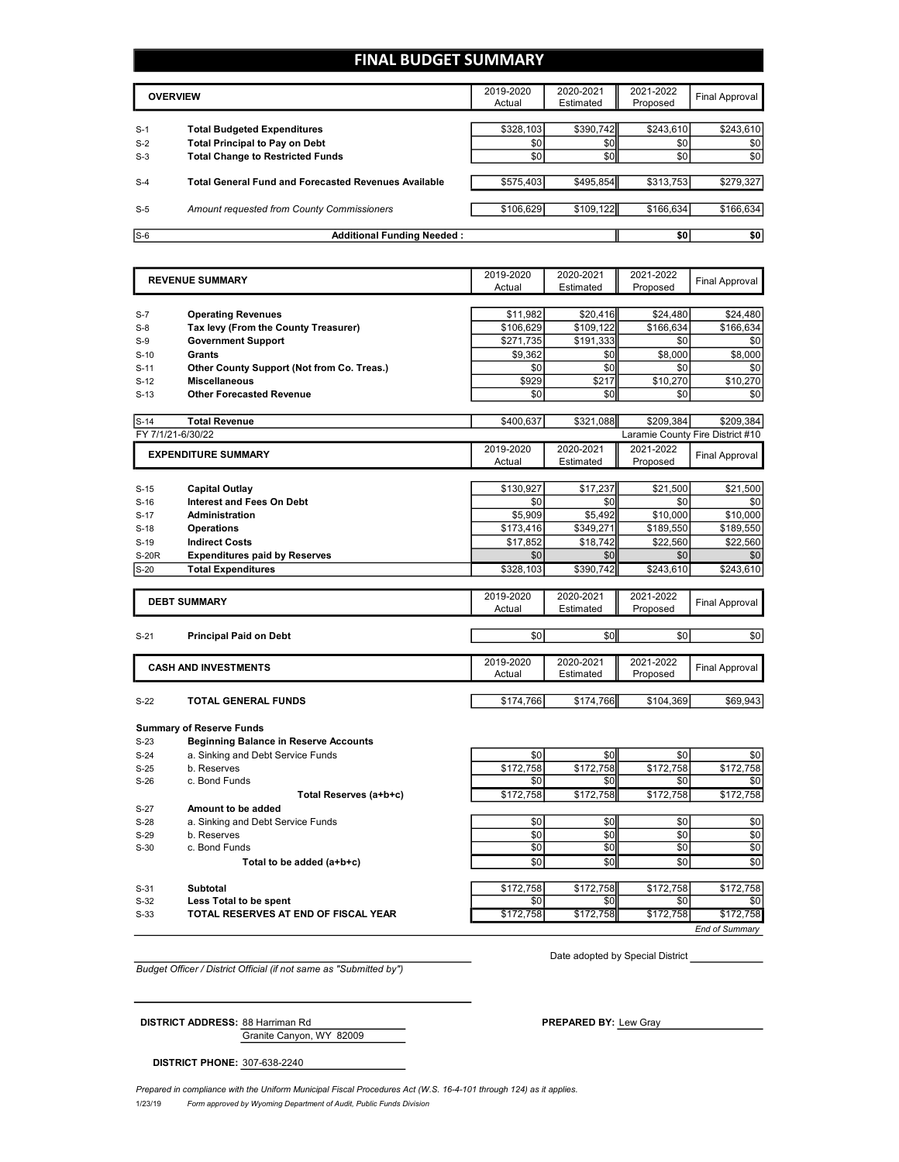### **FINAL BUDGET SUMMARY**

|       | <b>OVERVIEW</b>                                             | 2019-2020<br>Actual | 2020-2021<br>Estimated | 2021-2022<br>Proposed | Final Approval |
|-------|-------------------------------------------------------------|---------------------|------------------------|-----------------------|----------------|
| $S-1$ | <b>Total Budgeted Expenditures</b>                          | \$328,103           | \$390,742              | \$243.610             | \$243,610      |
| $S-2$ | <b>Total Principal to Pay on Debt</b>                       | \$0                 | \$0                    | \$0                   | \$0            |
| $S-3$ | <b>Total Change to Restricted Funds</b>                     | \$0                 | \$0                    | \$0                   | \$0            |
| $S-4$ | <b>Total General Fund and Forecasted Revenues Available</b> | \$575,403           | \$495,854              | \$313,753             | \$279,327      |
| $S-5$ | Amount requested from County Commissioners                  | \$106.629           | \$109.122              | \$166.634             | \$166,634      |
| $S-6$ | <b>Additional Funding Needed:</b>                           |                     |                        | \$0                   | \$0            |

|                  | <b>REVENUE SUMMARY</b>                       | 2019-2020        | 2020-2021        | 2021-2022        | <b>Final Approval</b>            |
|------------------|----------------------------------------------|------------------|------------------|------------------|----------------------------------|
|                  |                                              | Actual           | Estimated        | Proposed         |                                  |
|                  |                                              |                  |                  |                  |                                  |
| $S-7$            | <b>Operating Revenues</b>                    | \$11.982         | \$20.416         | \$24,480         | \$24,480                         |
| $S-8$            | Tax levy (From the County Treasurer)         | \$106,629        | \$109,122        | \$166,634        | \$166,634                        |
| $S-9$            | <b>Government Support</b>                    | \$271,735        | \$191,333        | \$0              | \$0                              |
| $S-10$           | <b>Grants</b>                                | \$9,362          | \$0              | \$8,000          | \$8,000                          |
| $S-11$           | Other County Support (Not from Co. Treas.)   | \$0              | \$0              | \$0              | \$0                              |
| $S-12$           | <b>Miscellaneous</b>                         | \$929            | \$217            | \$10,270         | \$10,270                         |
| $S-13$           | <b>Other Forecasted Revenue</b>              | \$0              | \$0              | \$0              | \$0                              |
| $S-14$           | <b>Total Revenue</b>                         | \$400,637        | \$321,088        | \$209,384        | \$209,384                        |
|                  | FY 7/1/21-6/30/22                            |                  |                  |                  | Laramie County Fire District #10 |
|                  | <b>EXPENDITURE SUMMARY</b>                   | 2019-2020        | 2020-2021        | 2021-2022        | <b>Final Approval</b>            |
|                  |                                              | Actual           | Estimated        | Proposed         |                                  |
|                  |                                              |                  |                  |                  |                                  |
| $S-15$           | <b>Capital Outlay</b>                        | \$130.927        | \$17.237         | \$21,500         | \$21,500                         |
| $S-16$           | <b>Interest and Fees On Debt</b>             | \$0              | \$0              | \$0              | \$0                              |
| $S-17$           | <b>Administration</b>                        | \$5,909          | \$5,492          | \$10,000         | \$10,000                         |
| $S-18$           | <b>Operations</b>                            | \$173,416        | \$349,271        | \$189,550        | \$189,550                        |
| $S-19$           | <b>Indirect Costs</b>                        | \$17,852         | \$18,742         | \$22,560         | \$22,560                         |
| <b>S-20R</b>     | <b>Expenditures paid by Reserves</b>         | \$0              | \$0              | \$0              | \$0                              |
| $S-20$           | <b>Total Expenditures</b>                    | \$328,103        | \$390,742        | \$243,610        | \$243,610                        |
|                  | <b>DEBT SUMMARY</b>                          | 2019-2020        | 2020-2021        | 2021-2022        |                                  |
|                  |                                              | Actual           | Estimated        | Proposed         | <b>Final Approval</b>            |
|                  |                                              |                  |                  |                  |                                  |
| $S-21$           | <b>Principal Paid on Debt</b>                | \$0              | \$0              | \$0              | \$0                              |
|                  | <b>CASH AND INVESTMENTS</b>                  | 2019-2020        | 2020-2021        | 2021-2022        | <b>Final Approval</b>            |
|                  |                                              | Actual           | Estimated        | Proposed         |                                  |
| $S-22$           | <b>TOTAL GENERAL FUNDS</b>                   | \$174,766        | \$174,766        | \$104,369        | \$69,943                         |
|                  |                                              |                  |                  |                  |                                  |
|                  | <b>Summary of Reserve Funds</b>              |                  |                  |                  |                                  |
| $S-23$           | <b>Beginning Balance in Reserve Accounts</b> |                  |                  |                  |                                  |
| $S-24$           | a. Sinking and Debt Service Funds            | \$0              | \$0              | \$0              | \$0                              |
| $S-25$           | b. Reserves                                  | \$172,758        | \$172,758        | \$172,758        | \$172,758                        |
| $S-26$           | c. Bond Funds                                | \$0              | \$0              | \$0              | \$0                              |
|                  | Total Reserves (a+b+c)                       | \$172,758        | \$172,758        | \$172,758        | \$172,758                        |
| $S-27$           | Amount to be added                           |                  |                  |                  |                                  |
| $S-28$           | a. Sinking and Debt Service Funds            | \$0              | \$0              | \$0              | \$0                              |
| $S-29$           | b. Reserves                                  | \$0              | \$0              | \$0              | \$0                              |
| $S-30$           | c. Bond Funds                                | \$0              | \$0              | \$0              | \$0                              |
|                  | Total to be added (a+b+c)                    | \$0              | \$0              | \$0              | \$0                              |
|                  |                                              |                  |                  |                  |                                  |
|                  |                                              |                  |                  |                  |                                  |
| $S-31$<br>$S-32$ | Subtotal<br>Less Total to be spent           | \$172.758<br>\$0 | \$172.758<br>\$0 | \$172,758<br>\$0 | \$172.758<br>\$0                 |

S-33 **TOTAL RESERVES AT END OF FISCAL YEAR** \$172,758 \$172,758 \$172,758 \$172,758

Date adopted by Special District

*End of Summary*

*Budget Officer / District Official (if not same as "Submitted by")*

Granite Canyon, WY 82009 **DISTRICT ADDRESS:** 88 Harriman Rd **PREPARED BY:** Lew Gray

**DISTRICT PHONE:** 307-638-2240

1/23/19 *Form approved by Wyoming Department of Audit, Public Funds Division Prepared in compliance with the Uniform Municipal Fiscal Procedures Act (W.S. 16-4-101 through 124) as it applies.*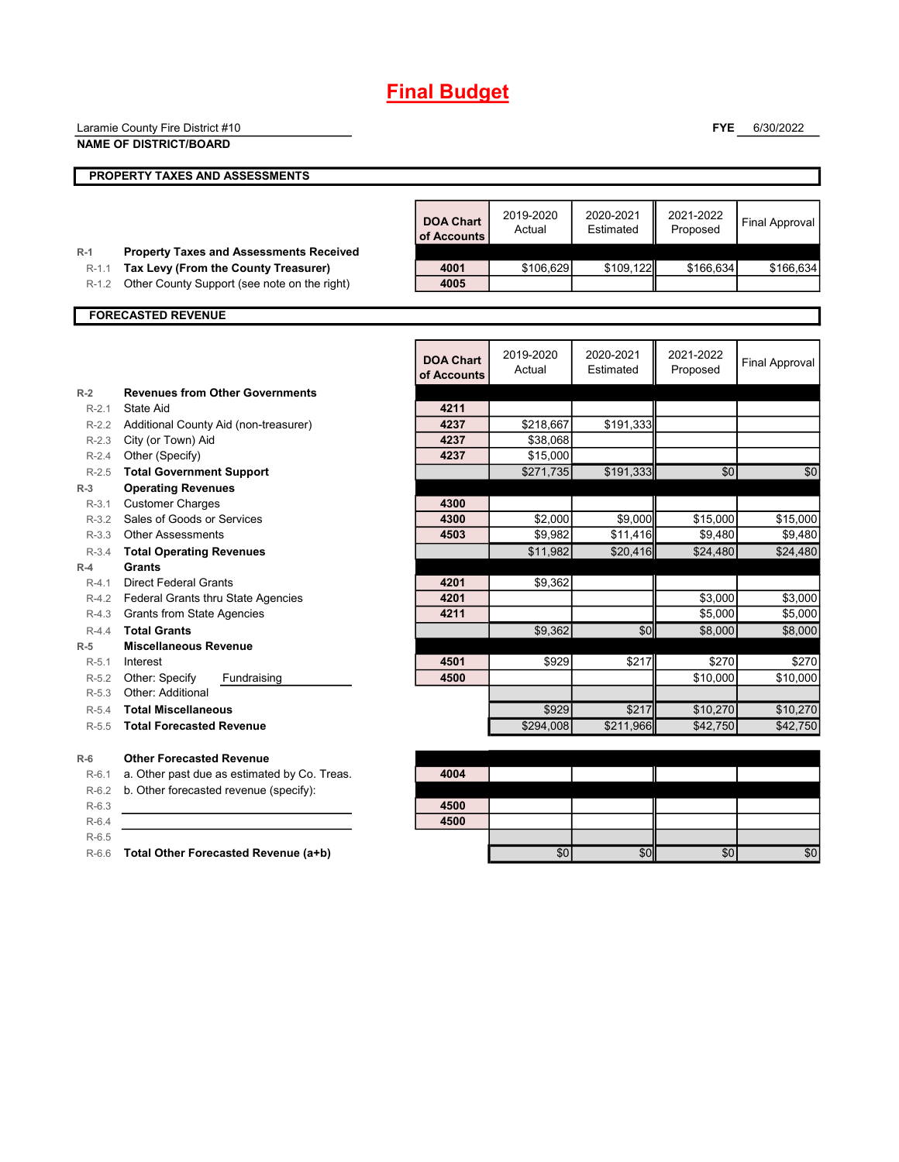# **Final Budget**

|                  | Laramie County Fire District #10                                                       |                                 |                      |                        | <b>FYE</b>            | 6/30/2022             |
|------------------|----------------------------------------------------------------------------------------|---------------------------------|----------------------|------------------------|-----------------------|-----------------------|
|                  | <b>NAME OF DISTRICT/BOARD</b>                                                          |                                 |                      |                        |                       |                       |
|                  | PROPERTY TAXES AND ASSESSMENTS                                                         |                                 |                      |                        |                       |                       |
|                  |                                                                                        |                                 |                      |                        |                       |                       |
|                  |                                                                                        | <b>DOA Chart</b><br>of Accounts | 2019-2020<br>Actual  | 2020-2021<br>Estimated | 2021-2022<br>Proposed | <b>Final Approval</b> |
| $R-1$<br>$R-1.1$ | <b>Property Taxes and Assessments Received</b><br>Tax Levy (From the County Treasurer) | 4001                            | \$106,629            | \$109,122              | \$166,634             | \$166,634             |
| $R-1.2$          | Other County Support (see note on the right)                                           | 4005                            |                      |                        |                       |                       |
|                  |                                                                                        |                                 |                      |                        |                       |                       |
|                  | <b>FORECASTED REVENUE</b>                                                              |                                 |                      |                        |                       |                       |
|                  |                                                                                        |                                 |                      |                        |                       |                       |
|                  |                                                                                        | <b>DOA Chart</b><br>of Accounts | 2019-2020<br>Actual  | 2020-2021<br>Estimated | 2021-2022<br>Proposed | <b>Final Approval</b> |
| $R-2$            | <b>Revenues from Other Governments</b>                                                 |                                 |                      |                        |                       |                       |
| $R-2.1$          | State Aid                                                                              | 4211                            |                      |                        |                       |                       |
| $R-2.3$          | R-2.2 Additional County Aid (non-treasurer)                                            | 4237<br>4237                    | \$218,667            | \$191,333              |                       |                       |
| $R-2.4$          | City (or Town) Aid<br>Other (Specify)                                                  | 4237                            | \$38,068<br>\$15,000 |                        |                       |                       |
| $R-2.5$          | <b>Total Government Support</b>                                                        |                                 | \$271,735            | \$191,333              | \$0                   | \$0                   |
| $R-3$            | <b>Operating Revenues</b>                                                              |                                 |                      |                        |                       |                       |
| $R-3.1$          | <b>Customer Charges</b>                                                                | 4300                            |                      |                        |                       |                       |
| $R-3.2$          | Sales of Goods or Services                                                             | 4300                            | \$2,000              | \$9,000                | \$15,000              | \$15,000              |
| $R-3.3$          | <b>Other Assessments</b>                                                               | 4503                            | \$9.982              | \$11,416               | \$9.480               | \$9.480               |
| $R-3.4$          | <b>Total Operating Revenues</b>                                                        |                                 | \$11,982             | \$20,416               | \$24,480              | \$24,480              |
| $R-4$            | <b>Grants</b>                                                                          |                                 |                      |                        |                       |                       |
| $R-4.1$          | <b>Direct Federal Grants</b>                                                           | 4201<br>4201                    | \$9,362              |                        |                       |                       |
| R-4.3            | R-4.2 Federal Grants thru State Agencies<br><b>Grants from State Agencies</b>          | 4211                            |                      |                        | \$3,000<br>\$5,000    | \$3,000<br>\$5,000    |
| $R-4.4$          | <b>Total Grants</b>                                                                    |                                 | \$9,362              | \$0                    | \$8,000               | \$8,000               |
| $R-5$            | <b>Miscellaneous Revenue</b>                                                           |                                 |                      |                        |                       |                       |
| $R-5.1$          | Interest                                                                               | 4501                            | \$929                | \$217                  | \$270                 | \$270                 |
| $R-5.2$          | Other: Specify<br>Fundraising                                                          | 4500                            |                      |                        | \$10,000              | \$10,000              |
| $R-5.3$          | Other: Additional                                                                      |                                 |                      |                        |                       |                       |
| $R-5.4$          | <b>Total Miscellaneous</b>                                                             |                                 | \$929                | \$217                  | \$10,270              | \$10,270              |
| $R-5.5$          | <b>Total Forecasted Revenue</b>                                                        |                                 | \$294,008            | \$211,966              | \$42,750              | \$42.750              |
| $R-6$            | <b>Other Forecasted Revenue</b>                                                        |                                 |                      |                        |                       |                       |
| $R-6.1$          | a. Other past due as estimated by Co. Treas.                                           | 4004                            |                      |                        |                       |                       |
| $R-6.2$          | b. Other forecasted revenue (specify):                                                 |                                 |                      |                        |                       |                       |
| $R-6.3$          |                                                                                        | 4500                            |                      |                        |                       |                       |
| $R-6.4$          |                                                                                        | 4500                            |                      |                        |                       |                       |
| $R-6.5$          |                                                                                        |                                 |                      |                        |                       |                       |
|                  | R-6.6 Total Other Forecasted Revenue (a+b)                                             |                                 | \$0                  | \$0                    | \$0                   | \$0                   |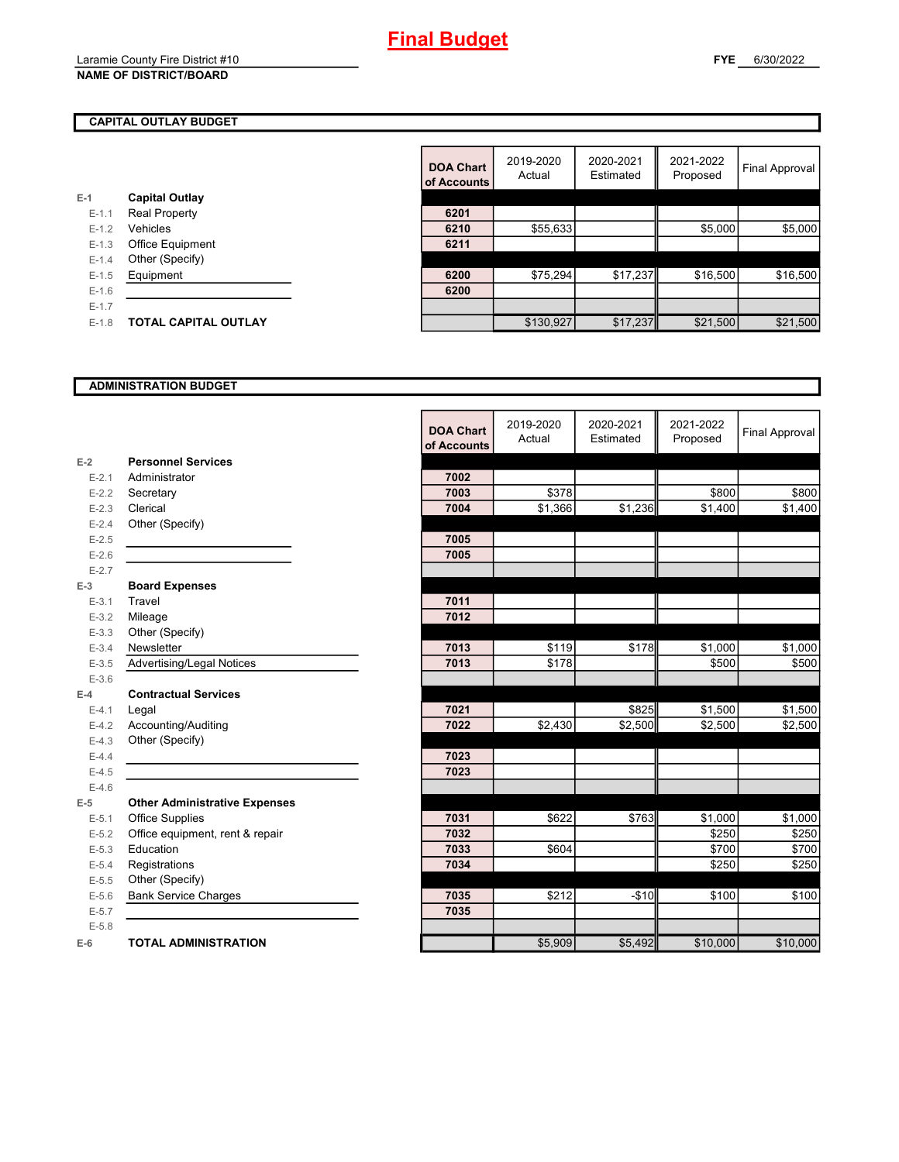| E-1       | <b>Capital Outlay</b>       |      |
|-----------|-----------------------------|------|
| $E-1.1$   | <b>Real Property</b>        | 6201 |
| $E - 1.2$ | Vehicles                    | 6210 |
| $E - 1.3$ | <b>Office Equipment</b>     | 6211 |
| $E - 1.4$ | Other (Specify)             |      |
| $E-1.5$   | Equipment                   | 6200 |
| $E - 1.6$ |                             | 6200 |
| $E - 1.7$ |                             |      |
| $E-1.8$   | <b>TOTAL CAPITAL OUTLAY</b> |      |
|           |                             |      |

|         |                             | <b>DOA Chart</b><br>of Accounts | 2019-2020<br>Actual | 2020-2021<br>Estimated | 2021-2022<br>Proposed | <b>Final Approval</b> |
|---------|-----------------------------|---------------------------------|---------------------|------------------------|-----------------------|-----------------------|
|         | <b>Capital Outlay</b>       |                                 |                     |                        |                       |                       |
| $E-1.1$ | <b>Real Property</b>        | 6201                            |                     |                        |                       |                       |
| $E-1.2$ | Vehicles                    | 6210                            | \$55,633            |                        | \$5,000               | \$5,000               |
| $E-1.3$ | Office Equipment            | 6211                            |                     |                        |                       |                       |
| $E-1.4$ | Other (Specify)             |                                 |                     |                        |                       |                       |
| $E-1.5$ | Equipment                   | 6200                            | \$75,294            | \$17,237               | \$16,500              | \$16,500              |
| $E-1.6$ |                             | 6200                            |                     |                        |                       |                       |
| $E-1.7$ |                             |                                 |                     |                        |                       |                       |
| $E-1.8$ | <b>TOTAL CAPITAL OUTLAY</b> |                                 | \$130,927           | \$17,237               | \$21,500              | \$21,500              |

#### **ADMINISTRATION BUDGET**

|           |                                      | <b>DOA Chart</b><br>of Accounts | 2019-2020<br>Actual | 2020-2021<br>Estimated | 2021-2022<br>Proposed | <b>Final Approval</b> |
|-----------|--------------------------------------|---------------------------------|---------------------|------------------------|-----------------------|-----------------------|
| $E-2$     | <b>Personnel Services</b>            |                                 |                     |                        |                       |                       |
| $E - 2.1$ | Administrator                        | 7002                            |                     |                        |                       |                       |
| $E-2.2$   | Secretary                            | 7003                            | \$378               |                        | \$800                 | \$800                 |
| $E - 2.3$ | Clerical                             | 7004                            | \$1,366             | \$1,236                | \$1,400               | \$1,400               |
| $E - 2.4$ | Other (Specify)                      |                                 |                     |                        |                       |                       |
| $E-2.5$   |                                      | 7005                            |                     |                        |                       |                       |
| $E-2.6$   |                                      | 7005                            |                     |                        |                       |                       |
| $E - 2.7$ |                                      |                                 |                     |                        |                       |                       |
| $E-3$     | <b>Board Expenses</b>                |                                 |                     |                        |                       |                       |
| $E-3.1$   | Travel                               | 7011                            |                     |                        |                       |                       |
| $E - 3.2$ | Mileage                              | 7012                            |                     |                        |                       |                       |
| $E - 3.3$ | Other (Specify)                      |                                 |                     |                        |                       |                       |
| $E - 3.4$ | Newsletter                           | 7013                            | \$119               | \$178                  | \$1,000               | \$1,000               |
| $E - 3.5$ | Advertising/Legal Notices            | 7013                            | \$178               |                        | \$500                 | \$500                 |
| $E - 3.6$ |                                      |                                 |                     |                        |                       |                       |
| $E-4$     | <b>Contractual Services</b>          |                                 |                     |                        |                       |                       |
| $E - 4.1$ | Legal                                | 7021                            |                     | \$825                  | \$1,500               | \$1,500               |
| $E-4.2$   | Accounting/Auditing                  | 7022                            | \$2,430             | \$2,500                | \$2,500               | \$2,500               |
| $E-4.3$   | Other (Specify)                      |                                 |                     |                        |                       |                       |
| $E-4.4$   |                                      | 7023                            |                     |                        |                       |                       |
| $E-4.5$   |                                      | 7023                            |                     |                        |                       |                       |
| $E-4.6$   |                                      |                                 |                     |                        |                       |                       |
| $E-5$     | <b>Other Administrative Expenses</b> |                                 |                     |                        |                       |                       |
| $E - 5.1$ | Office Supplies                      | 7031                            | \$622               | \$763                  | \$1,000               | \$1,000               |
| $E-5.2$   | Office equipment, rent & repair      | 7032                            |                     |                        | \$250                 | \$250                 |
| $E-5.3$   | Education                            | 7033                            | \$604               |                        | \$700                 | \$700                 |
| $E - 5.4$ | Registrations                        | 7034                            |                     |                        | \$250                 | \$250                 |
| $E-5.5$   | Other (Specify)                      |                                 |                     |                        |                       |                       |
| $E - 5.6$ | <b>Bank Service Charges</b>          | 7035                            | \$212               | $-$10$                 | \$100                 | \$100                 |
| $E - 5.7$ |                                      | 7035                            |                     |                        |                       |                       |
| $E - 5.8$ |                                      |                                 |                     |                        |                       |                       |
| $E-6$     | <b>TOTAL ADMINISTRATION</b>          |                                 | \$5,909             | \$5,492                | \$10,000              | \$10,000              |

 $\blacksquare$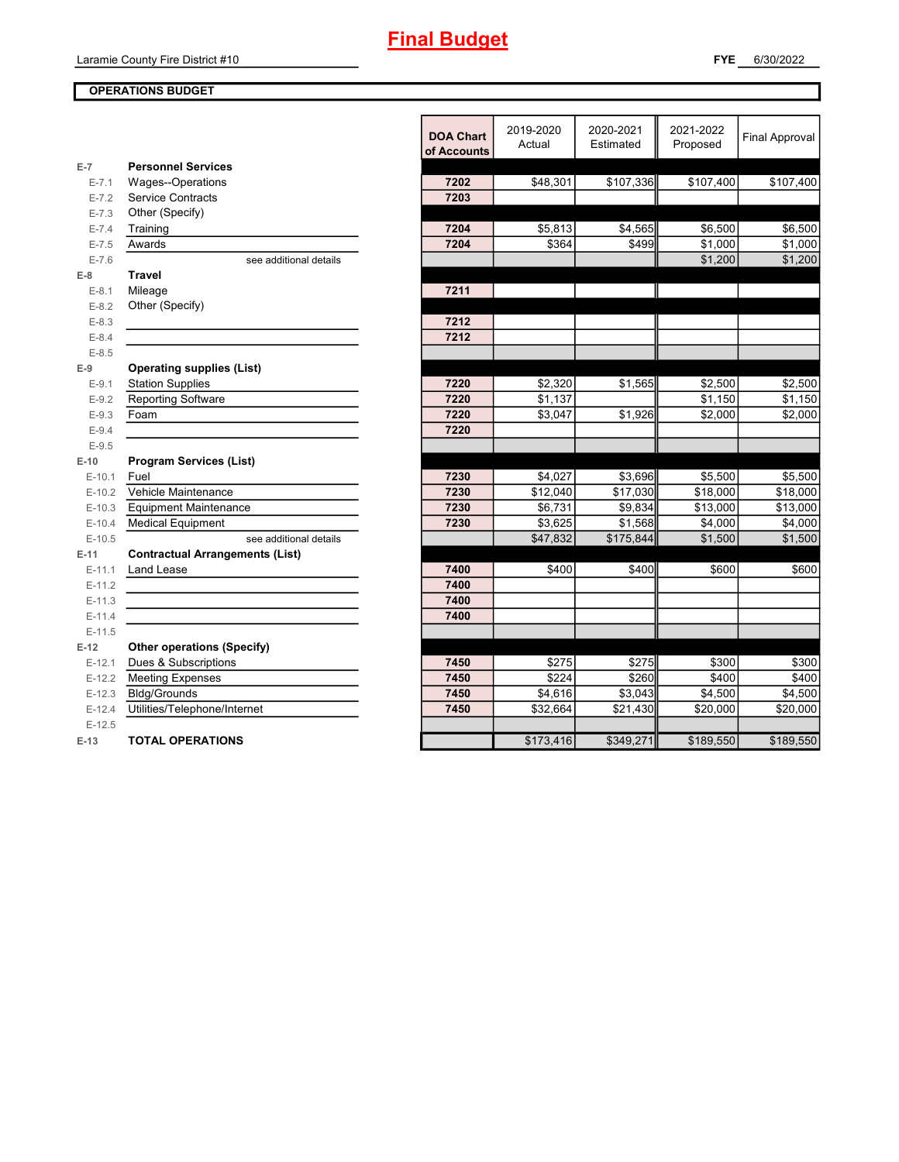### **OPERATIONS BUDGET**

|           |                                        |                  | 2019-2020 | 2020-2021 | 2021-2022 |                       |
|-----------|----------------------------------------|------------------|-----------|-----------|-----------|-----------------------|
|           |                                        | <b>DOA Chart</b> | Actual    | Estimated | Proposed  | <b>Final Approval</b> |
|           |                                        | of Accounts      |           |           |           |                       |
| $E-7$     | <b>Personnel Services</b>              |                  |           |           |           |                       |
| $E - 7.1$ | Wages--Operations                      | 7202             | \$48,301  | \$107,336 | \$107,400 | \$107,400             |
| $E - 7.2$ | <b>Service Contracts</b>               | 7203             |           |           |           |                       |
| $E - 7.3$ | Other (Specify)                        |                  |           |           |           |                       |
| $E - 7.4$ | Training                               | 7204             | \$5,813   | \$4,565   | \$6,500   | \$6,500               |
| $E - 7.5$ | Awards                                 | 7204             | \$364     | \$499     | \$1,000   | \$1,000               |
| $E - 7.6$ | see additional details                 |                  |           |           | \$1,200   | \$1,200               |
| $E-8$     | <b>Travel</b>                          |                  |           |           |           |                       |
| $E-8.1$   | Mileage                                | 7211             |           |           |           |                       |
| $E-8.2$   | Other (Specify)                        |                  |           |           |           |                       |
| $E - 8.3$ |                                        | 7212             |           |           |           |                       |
| $E - 8.4$ |                                        | 7212             |           |           |           |                       |
| $E - 8.5$ |                                        |                  |           |           |           |                       |
| $E-9$     | <b>Operating supplies (List)</b>       |                  |           |           |           |                       |
| $E-9.1$   | <b>Station Supplies</b>                | 7220             | \$2,320   | \$1,565   | \$2,500   | \$2,500               |
| $E-9.2$   | Reporting Software                     | 7220             | \$1,137   |           | \$1,150   | \$1,150               |
| $E - 9.3$ | Foam                                   | 7220             | \$3,047   | \$1,926   | \$2,000   | \$2,000               |
| $E-9.4$   |                                        | 7220             |           |           |           |                       |
| $E-9.5$   |                                        |                  |           |           |           |                       |
| $E-10$    | <b>Program Services (List)</b>         |                  |           |           |           |                       |
| $E-10.1$  | Fuel                                   | 7230             | \$4,027   | \$3,696   | \$5,500   | \$5,500               |
| $E-10.2$  | Vehicle Maintenance                    | 7230             | \$12,040  | \$17,030  | \$18,000  | \$18,000              |
| $E-10.3$  | <b>Equipment Maintenance</b>           | 7230             | \$6,731   | \$9,834   | \$13,000  | \$13,000              |
| $E-10.4$  | <b>Medical Equipment</b>               | 7230             | \$3,625   | \$1,568   | \$4,000   | \$4,000               |
| $E-10.5$  | see additional details                 |                  | \$47,832  | \$175,844 | \$1,500   | \$1,500               |
| $E-11$    | <b>Contractual Arrangements (List)</b> |                  |           |           |           |                       |
| $E-11.1$  | Land Lease                             | 7400             | \$400     | \$400     | \$600     | \$600                 |
| $E-11.2$  |                                        | 7400             |           |           |           |                       |
| $E-11.3$  |                                        | 7400             |           |           |           |                       |
| $E-11.4$  |                                        | 7400             |           |           |           |                       |
| $E-11.5$  |                                        |                  |           |           |           |                       |
| $E-12$    | <b>Other operations (Specify)</b>      |                  |           |           |           |                       |
| $E-12.1$  | Dues & Subscriptions                   | 7450             | \$275     | \$275     | \$300     | \$300                 |
| $E-12.2$  | <b>Meeting Expenses</b>                | 7450             | \$224     | \$260     | \$400     | \$400                 |
| $E-12.3$  | <b>Bldg/Grounds</b>                    | 7450             | \$4,616   | \$3,043   | \$4,500   | \$4,500               |
| $E-12.4$  | Utilities/Telephone/Internet           | 7450             | \$32,664  | \$21,430  | \$20,000  | \$20,000              |
| $E-12.5$  |                                        |                  |           |           |           |                       |
| $E-13$    | <b>TOTAL OPERATIONS</b>                |                  | \$173,416 | \$349,271 | \$189,550 | \$189,550             |
|           |                                        |                  |           |           |           |                       |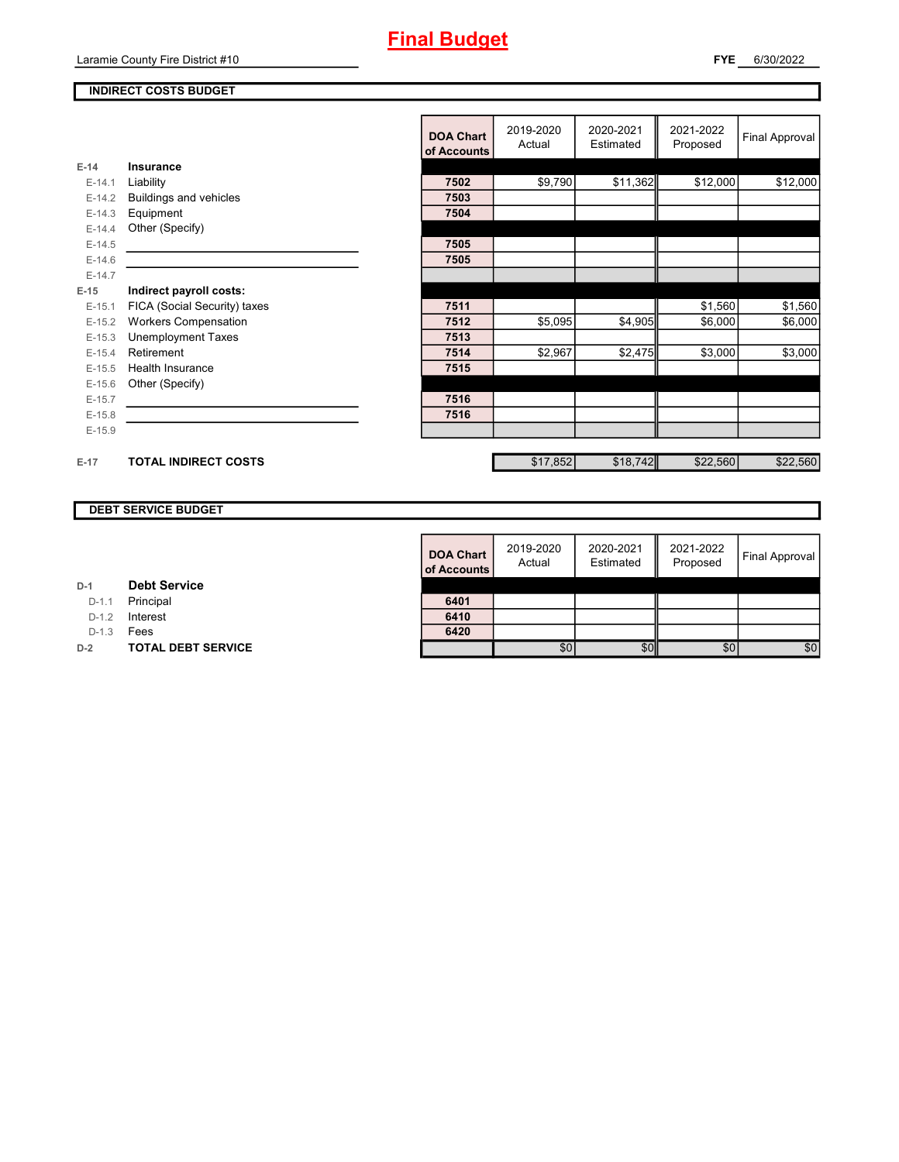Laramie County Fire District #10

### **INDIRECT COSTS BUDGET**

|          |                               | <b>DOA Chart</b><br>of Accounts | 2019-2020<br>Actual | 2020-2021<br>Estimated | 2021-2022<br>Proposed | <b>Final Approval</b> |
|----------|-------------------------------|---------------------------------|---------------------|------------------------|-----------------------|-----------------------|
| $E-14$   | <b>Insurance</b>              |                                 |                     |                        |                       |                       |
| $E-14.1$ | Liability                     | 7502                            | \$9,790             | \$11,362               | \$12,000              | \$12,000              |
| $E-14.2$ | <b>Buildings and vehicles</b> | 7503                            |                     |                        |                       |                       |
| $E-14.3$ | Equipment                     | 7504                            |                     |                        |                       |                       |
| $E-14.4$ | Other (Specify)               |                                 |                     |                        |                       |                       |
| $E-14.5$ |                               | 7505                            |                     |                        |                       |                       |
| $E-14.6$ |                               | 7505                            |                     |                        |                       |                       |
| $E-14.7$ |                               |                                 |                     |                        |                       |                       |
| $E-15$   | Indirect payroll costs:       |                                 |                     |                        |                       |                       |
| $E-15.1$ | FICA (Social Security) taxes  | 7511                            |                     |                        | \$1,560               | \$1,560               |
| $E-15.2$ | <b>Workers Compensation</b>   | 7512                            | \$5,095             | \$4,905                | \$6,000               | \$6,000               |
| $E-15.3$ | <b>Unemployment Taxes</b>     | 7513                            |                     |                        |                       |                       |
| $E-15.4$ | Retirement                    | 7514                            | \$2,967             | \$2,475                | \$3,000               | \$3,000               |
| $E-15.5$ | Health Insurance              | 7515                            |                     |                        |                       |                       |
| $E-15.6$ | Other (Specify)               |                                 |                     |                        |                       |                       |
| $E-15.7$ |                               | 7516                            |                     |                        |                       |                       |
| $E-15.8$ |                               | 7516                            |                     |                        |                       |                       |
| $E-15.9$ |                               |                                 |                     |                        |                       |                       |
|          |                               |                                 |                     |                        |                       |                       |
| $E-17$   | <b>TOTAL INDIRECT COSTS</b>   |                                 | \$17,852            | \$18,742               | \$22,560              | \$22,560              |

### **DEBT SERVICE BUDGET**

| <b>DOA Chart</b><br>of Accounts | 2019-2020<br>Actual | 2020-2021<br>Estimated | 2021-2022<br>Proposed | Final Approval |
|---------------------------------|---------------------|------------------------|-----------------------|----------------|
| 6401                            |                     |                        |                       |                |
| 6410                            |                     |                        |                       |                |
| 6420                            | \$0                 |                        | \$0                   | \$C            |
|                                 |                     |                        |                       |                |

| D-1 |  | <b>Debt Service</b> |
|-----|--|---------------------|
|-----|--|---------------------|

D-1.1 **Principal** 

D-1.2 **Interest** 

D-1.3 **Fees** 

**D-2 TOTAL DEBT SERVICE**